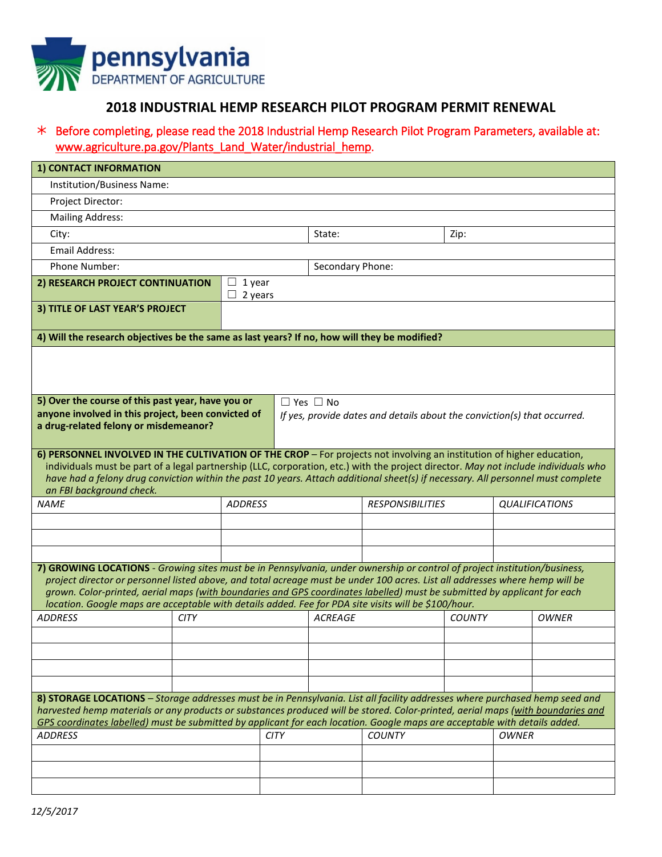

## **2018 INDUSTRIAL HEMP RESEARCH PILOT PROGRAM PERMIT RENEWAL**

## Before completing, please read the 2018 Industrial Hemp Research Pilot Program Parameters, available at: [www.agriculture.pa.gov/Plants\\_Land\\_Water/industrial\\_hemp.](http://www.agriculture.pa.gov/Plants_Land_Water/industrial_hemp/Pages/default.aspx)

| 1) CONTACT INFORMATION                                                                                                                                                                                                                                                                                                                                                                                                                                                                        |                   |             |                                                                                                  |               |                       |              |              |  |
|-----------------------------------------------------------------------------------------------------------------------------------------------------------------------------------------------------------------------------------------------------------------------------------------------------------------------------------------------------------------------------------------------------------------------------------------------------------------------------------------------|-------------------|-------------|--------------------------------------------------------------------------------------------------|---------------|-----------------------|--------------|--------------|--|
| Institution/Business Name:                                                                                                                                                                                                                                                                                                                                                                                                                                                                    |                   |             |                                                                                                  |               |                       |              |              |  |
| Project Director:                                                                                                                                                                                                                                                                                                                                                                                                                                                                             |                   |             |                                                                                                  |               |                       |              |              |  |
| <b>Mailing Address:</b>                                                                                                                                                                                                                                                                                                                                                                                                                                                                       |                   |             |                                                                                                  |               |                       |              |              |  |
| City:                                                                                                                                                                                                                                                                                                                                                                                                                                                                                         |                   |             |                                                                                                  |               | Zip:                  |              |              |  |
| <b>Email Address:</b>                                                                                                                                                                                                                                                                                                                                                                                                                                                                         |                   |             |                                                                                                  |               |                       |              |              |  |
| Phone Number:                                                                                                                                                                                                                                                                                                                                                                                                                                                                                 |                   |             | Secondary Phone:                                                                                 |               |                       |              |              |  |
| 2) RESEARCH PROJECT CONTINUATION                                                                                                                                                                                                                                                                                                                                                                                                                                                              | 1 year<br>2 years |             |                                                                                                  |               |                       |              |              |  |
| 3) TITLE OF LAST YEAR'S PROJECT                                                                                                                                                                                                                                                                                                                                                                                                                                                               |                   |             |                                                                                                  |               |                       |              |              |  |
| 4) Will the research objectives be the same as last years? If no, how will they be modified?                                                                                                                                                                                                                                                                                                                                                                                                  |                   |             |                                                                                                  |               |                       |              |              |  |
| 5) Over the course of this past year, have you or<br>anyone involved in this project, been convicted of<br>a drug-related felony or misdemeanor?                                                                                                                                                                                                                                                                                                                                              |                   |             | $\Box$ Yes $\Box$ No<br>If yes, provide dates and details about the conviction(s) that occurred. |               |                       |              |              |  |
| 6) PERSONNEL INVOLVED IN THE CULTIVATION OF THE CROP - For projects not involving an institution of higher education,<br>individuals must be part of a legal partnership (LLC, corporation, etc.) with the project director. May not include individuals who<br>have had a felony drug conviction within the past 10 years. Attach additional sheet(s) if necessary. All personnel must complete<br>an FBI background check.                                                                  |                   |             |                                                                                                  |               |                       |              |              |  |
| <b>NAME</b><br><b>ADDRESS</b>                                                                                                                                                                                                                                                                                                                                                                                                                                                                 |                   |             | <b>RESPONSIBILITIES</b>                                                                          |               | <b>QUALIFICATIONS</b> |              |              |  |
|                                                                                                                                                                                                                                                                                                                                                                                                                                                                                               |                   |             |                                                                                                  |               |                       |              |              |  |
|                                                                                                                                                                                                                                                                                                                                                                                                                                                                                               |                   |             |                                                                                                  |               |                       |              |              |  |
| 7) GROWING LOCATIONS - Growing sites must be in Pennsylvania, under ownership or control of project institution/business,<br>project director or personnel listed above, and total acreage must be under 100 acres. List all addresses where hemp will be<br>grown. Color-printed, aerial maps (with boundaries and GPS coordinates labelled) must be submitted by applicant for each<br>location. Google maps are acceptable with details added. Fee for PDA site visits will be \$100/hour. |                   |             |                                                                                                  |               |                       |              |              |  |
| <b>ADDRESS</b><br><b>CITY</b>                                                                                                                                                                                                                                                                                                                                                                                                                                                                 |                   |             | <b>ACREAGE</b>                                                                                   |               | <b>COUNTY</b>         |              | <b>OWNER</b> |  |
|                                                                                                                                                                                                                                                                                                                                                                                                                                                                                               |                   |             |                                                                                                  |               |                       |              |              |  |
|                                                                                                                                                                                                                                                                                                                                                                                                                                                                                               |                   |             |                                                                                                  |               |                       |              |              |  |
|                                                                                                                                                                                                                                                                                                                                                                                                                                                                                               |                   |             |                                                                                                  |               |                       |              |              |  |
| 8) STORAGE LOCATIONS - Storage addresses must be in Pennsylvania. List all facility addresses where purchased hemp seed and<br>harvested hemp materials or any products or substances produced will be stored. Color-printed, aerial maps (with boundaries and<br>GPS coordinates labelled) must be submitted by applicant for each location. Google maps are acceptable with details added.                                                                                                  |                   |             |                                                                                                  |               |                       |              |              |  |
|                                                                                                                                                                                                                                                                                                                                                                                                                                                                                               |                   |             |                                                                                                  |               |                       |              |              |  |
| <b>ADDRESS</b>                                                                                                                                                                                                                                                                                                                                                                                                                                                                                |                   | <b>CITY</b> |                                                                                                  | <b>COUNTY</b> |                       | <b>OWNER</b> |              |  |
|                                                                                                                                                                                                                                                                                                                                                                                                                                                                                               |                   |             |                                                                                                  |               |                       |              |              |  |
|                                                                                                                                                                                                                                                                                                                                                                                                                                                                                               |                   |             |                                                                                                  |               |                       |              |              |  |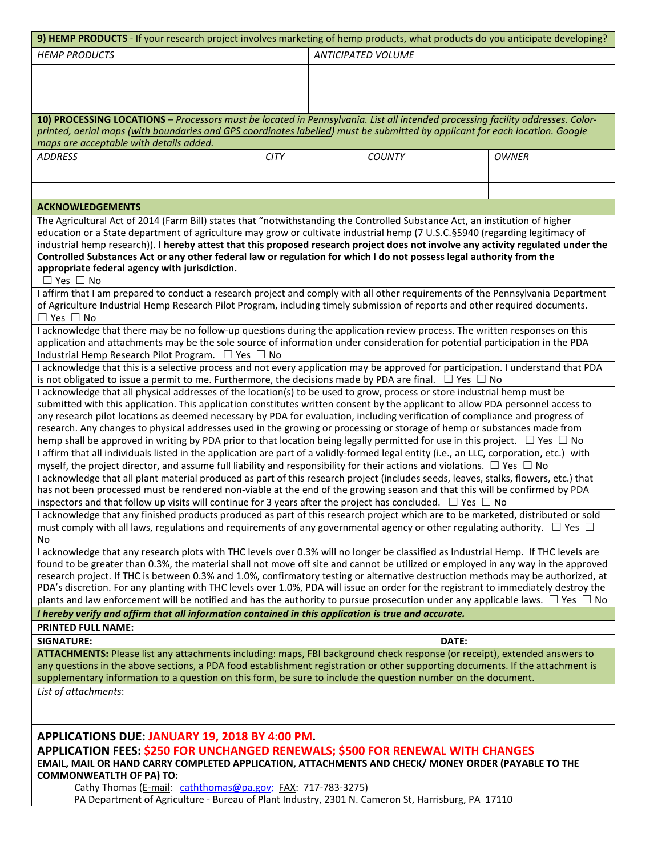| 9) HEMP PRODUCTS - If your research project involves marketing of hemp products, what products do you anticipate developing?                                                                                                                                      |             |                           |               |       |                                                                                                   |  |  |  |  |  |  |
|-------------------------------------------------------------------------------------------------------------------------------------------------------------------------------------------------------------------------------------------------------------------|-------------|---------------------------|---------------|-------|---------------------------------------------------------------------------------------------------|--|--|--|--|--|--|
| <b>HEMP PRODUCTS</b>                                                                                                                                                                                                                                              |             | <b>ANTICIPATED VOLUME</b> |               |       |                                                                                                   |  |  |  |  |  |  |
|                                                                                                                                                                                                                                                                   |             |                           |               |       |                                                                                                   |  |  |  |  |  |  |
|                                                                                                                                                                                                                                                                   |             |                           |               |       |                                                                                                   |  |  |  |  |  |  |
|                                                                                                                                                                                                                                                                   |             |                           |               |       |                                                                                                   |  |  |  |  |  |  |
|                                                                                                                                                                                                                                                                   |             |                           |               |       |                                                                                                   |  |  |  |  |  |  |
| 10) PROCESSING LOCATIONS - Processors must be located in Pennsylvania. List all intended processing facility addresses. Color-                                                                                                                                    |             |                           |               |       |                                                                                                   |  |  |  |  |  |  |
| printed, aerial maps (with boundaries and GPS coordinates labelled) must be submitted by applicant for each location. Google<br>maps are acceptable with details added.                                                                                           |             |                           |               |       |                                                                                                   |  |  |  |  |  |  |
| <b>ADDRESS</b>                                                                                                                                                                                                                                                    | <b>CITY</b> |                           | <b>COUNTY</b> |       | <b>OWNER</b>                                                                                      |  |  |  |  |  |  |
|                                                                                                                                                                                                                                                                   |             |                           |               |       |                                                                                                   |  |  |  |  |  |  |
|                                                                                                                                                                                                                                                                   |             |                           |               |       |                                                                                                   |  |  |  |  |  |  |
|                                                                                                                                                                                                                                                                   |             |                           |               |       |                                                                                                   |  |  |  |  |  |  |
| <b>ACKNOWLEDGEMENTS</b>                                                                                                                                                                                                                                           |             |                           |               |       |                                                                                                   |  |  |  |  |  |  |
| The Agricultural Act of 2014 (Farm Bill) states that "notwithstanding the Controlled Substance Act, an institution of higher                                                                                                                                      |             |                           |               |       |                                                                                                   |  |  |  |  |  |  |
| education or a State department of agriculture may grow or cultivate industrial hemp (7 U.S.C.§5940 (regarding legitimacy of                                                                                                                                      |             |                           |               |       |                                                                                                   |  |  |  |  |  |  |
| industrial hemp research)). I hereby attest that this proposed research project does not involve any activity regulated under the                                                                                                                                 |             |                           |               |       |                                                                                                   |  |  |  |  |  |  |
| Controlled Substances Act or any other federal law or regulation for which I do not possess legal authority from the                                                                                                                                              |             |                           |               |       |                                                                                                   |  |  |  |  |  |  |
| appropriate federal agency with jurisdiction.<br>$\Box$ Yes $\Box$ No                                                                                                                                                                                             |             |                           |               |       |                                                                                                   |  |  |  |  |  |  |
| I affirm that I am prepared to conduct a research project and comply with all other requirements of the Pennsylvania Department                                                                                                                                   |             |                           |               |       |                                                                                                   |  |  |  |  |  |  |
| of Agriculture Industrial Hemp Research Pilot Program, including timely submission of reports and other required documents.                                                                                                                                       |             |                           |               |       |                                                                                                   |  |  |  |  |  |  |
| $\Box$ Yes $\Box$ No                                                                                                                                                                                                                                              |             |                           |               |       |                                                                                                   |  |  |  |  |  |  |
| I acknowledge that there may be no follow-up questions during the application review process. The written responses on this                                                                                                                                       |             |                           |               |       |                                                                                                   |  |  |  |  |  |  |
| application and attachments may be the sole source of information under consideration for potential participation in the PDA                                                                                                                                      |             |                           |               |       |                                                                                                   |  |  |  |  |  |  |
| Industrial Hemp Research Pilot Program. $\Box$ Yes $\Box$ No                                                                                                                                                                                                      |             |                           |               |       |                                                                                                   |  |  |  |  |  |  |
| I acknowledge that this is a selective process and not every application may be approved for participation. I understand that PDA                                                                                                                                 |             |                           |               |       |                                                                                                   |  |  |  |  |  |  |
| is not obligated to issue a permit to me. Furthermore, the decisions made by PDA are final. $\Box$ Yes $\Box$ No                                                                                                                                                  |             |                           |               |       |                                                                                                   |  |  |  |  |  |  |
| I acknowledge that all physical addresses of the location(s) to be used to grow, process or store industrial hemp must be                                                                                                                                         |             |                           |               |       |                                                                                                   |  |  |  |  |  |  |
| submitted with this application. This application constitutes written consent by the applicant to allow PDA personnel access to                                                                                                                                   |             |                           |               |       |                                                                                                   |  |  |  |  |  |  |
| any research pilot locations as deemed necessary by PDA for evaluation, including verification of compliance and progress of                                                                                                                                      |             |                           |               |       |                                                                                                   |  |  |  |  |  |  |
| research. Any changes to physical addresses used in the growing or processing or storage of hemp or substances made from<br>hemp shall be approved in writing by PDA prior to that location being legally permitted for use in this project. $\Box$ Yes $\Box$ No |             |                           |               |       |                                                                                                   |  |  |  |  |  |  |
| I affirm that all individuals listed in the application are part of a validly-formed legal entity (i.e., an LLC, corporation, etc.) with                                                                                                                          |             |                           |               |       |                                                                                                   |  |  |  |  |  |  |
| myself, the project director, and assume full liability and responsibility for their actions and violations. $\Box$ Yes $\Box$ No                                                                                                                                 |             |                           |               |       |                                                                                                   |  |  |  |  |  |  |
| I acknowledge that all plant material produced as part of this research project (includes seeds, leaves, stalks, flowers, etc.) that                                                                                                                              |             |                           |               |       |                                                                                                   |  |  |  |  |  |  |
| has not been processed must be rendered non-viable at the end of the growing season and that this will be confirmed by PDA                                                                                                                                        |             |                           |               |       |                                                                                                   |  |  |  |  |  |  |
| inspectors and that follow up visits will continue for 3 years after the project has concluded. $\Box$ Yes $\Box$ No                                                                                                                                              |             |                           |               |       |                                                                                                   |  |  |  |  |  |  |
| I acknowledge that any finished products produced as part of this research project which are to be marketed, distributed or sold                                                                                                                                  |             |                           |               |       |                                                                                                   |  |  |  |  |  |  |
| must comply with all laws, regulations and requirements of any governmental agency or other regulating authority. $\Box$ Yes $\Box$                                                                                                                               |             |                           |               |       |                                                                                                   |  |  |  |  |  |  |
| No<br>I acknowledge that any research plots with THC levels over 0.3% will no longer be classified as Industrial Hemp. If THC levels are                                                                                                                          |             |                           |               |       |                                                                                                   |  |  |  |  |  |  |
| found to be greater than 0.3%, the material shall not move off site and cannot be utilized or employed in any way in the approved                                                                                                                                 |             |                           |               |       |                                                                                                   |  |  |  |  |  |  |
| research project. If THC is between 0.3% and 1.0%, confirmatory testing or alternative destruction methods may be authorized, at                                                                                                                                  |             |                           |               |       |                                                                                                   |  |  |  |  |  |  |
| PDA's discretion. For any planting with THC levels over 1.0%, PDA will issue an order for the registrant to immediately destroy the                                                                                                                               |             |                           |               |       |                                                                                                   |  |  |  |  |  |  |
| plants and law enforcement will be notified and has the authority to pursue prosecution under any applicable laws. $\Box$ Yes $\Box$ No                                                                                                                           |             |                           |               |       |                                                                                                   |  |  |  |  |  |  |
| I hereby verify and affirm that all information contained in this application is true and accurate.                                                                                                                                                               |             |                           |               |       |                                                                                                   |  |  |  |  |  |  |
| <b>PRINTED FULL NAME:</b>                                                                                                                                                                                                                                         |             |                           |               |       |                                                                                                   |  |  |  |  |  |  |
| <b>SIGNATURE:</b>                                                                                                                                                                                                                                                 |             |                           |               | DATE: |                                                                                                   |  |  |  |  |  |  |
| ATTACHMENTS: Please list any attachments including: maps, FBI background check response (or receipt), extended answers to                                                                                                                                         |             |                           |               |       |                                                                                                   |  |  |  |  |  |  |
| any questions in the above sections, a PDA food establishment registration or other supporting documents. If the attachment is                                                                                                                                    |             |                           |               |       |                                                                                                   |  |  |  |  |  |  |
| supplementary information to a question on this form, be sure to include the question number on the document.                                                                                                                                                     |             |                           |               |       |                                                                                                   |  |  |  |  |  |  |
| List of attachments:                                                                                                                                                                                                                                              |             |                           |               |       |                                                                                                   |  |  |  |  |  |  |
|                                                                                                                                                                                                                                                                   |             |                           |               |       |                                                                                                   |  |  |  |  |  |  |
|                                                                                                                                                                                                                                                                   |             |                           |               |       |                                                                                                   |  |  |  |  |  |  |
| APPLICATIONS DUE: JANUARY 19, 2018 BY 4:00 PM.                                                                                                                                                                                                                    |             |                           |               |       |                                                                                                   |  |  |  |  |  |  |
| APPLICATION FEES: \$250 FOR UNCHANGED RENEWALS; \$500 FOR RENEWAL WITH CHANGES                                                                                                                                                                                    |             |                           |               |       |                                                                                                   |  |  |  |  |  |  |
| EMAIL, MAIL OR HAND CARRY COMPLETED APPLICATION, ATTACHMENTS AND CHECK/ MONEY ORDER (PAYABLE TO THE                                                                                                                                                               |             |                           |               |       |                                                                                                   |  |  |  |  |  |  |
| <b>COMMONWEATLTH OF PA) TO:</b>                                                                                                                                                                                                                                   |             |                           |               |       |                                                                                                   |  |  |  |  |  |  |
| Cathy Thomas (E-mail: caththomas@pa.gov; FAX: 717-783-3275)                                                                                                                                                                                                       |             |                           |               |       |                                                                                                   |  |  |  |  |  |  |
|                                                                                                                                                                                                                                                                   |             |                           |               |       | PA Department of Agriculture - Bureau of Plant Industry, 2301 N. Cameron St, Harrisburg, PA 17110 |  |  |  |  |  |  |